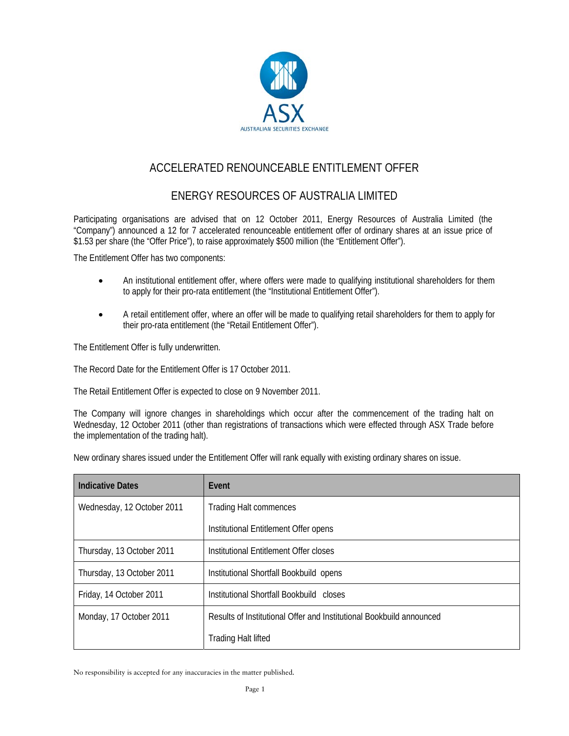

# ACCELERATED RENOUNCEABLE ENTITLEMENT OFFER

## ENERGY RESOURCES OF AUSTRALIA LIMITED

Participating organisations are advised that on 12 October 2011, Energy Resources of Australia Limited (the "Company") announced a 12 for 7 accelerated renounceable entitlement offer of ordinary shares at an issue price of \$1.53 per share (the "Offer Price"), to raise approximately \$500 million (the "Entitlement Offer").

The Entitlement Offer has two components:

- An institutional entitlement offer, where offers were made to qualifying institutional shareholders for them to apply for their pro-rata entitlement (the "Institutional Entitlement Offer").
- A retail entitlement offer, where an offer will be made to qualifying retail shareholders for them to apply for their pro-rata entitlement (the "Retail Entitlement Offer").

The Entitlement Offer is fully underwritten.

The Record Date for the Entitlement Offer is 17 October 2011.

The Retail Entitlement Offer is expected to close on 9 November 2011.

The Company will ignore changes in shareholdings which occur after the commencement of the trading halt on Wednesday, 12 October 2011 (other than registrations of transactions which were effected through ASX Trade before the implementation of the trading halt).

New ordinary shares issued under the Entitlement Offer will rank equally with existing ordinary shares on issue.

| <b>Indicative Dates</b>    | Event                                                                |
|----------------------------|----------------------------------------------------------------------|
| Wednesday, 12 October 2011 | <b>Trading Halt commences</b>                                        |
|                            | Institutional Entitlement Offer opens                                |
| Thursday, 13 October 2011  | Institutional Entitlement Offer closes                               |
| Thursday, 13 October 2011  | Institutional Shortfall Bookbuild opens                              |
| Friday, 14 October 2011    | Institutional Shortfall Bookbuild closes                             |
| Monday, 17 October 2011    | Results of Institutional Offer and Institutional Bookbuild announced |
|                            | <b>Trading Halt lifted</b>                                           |

No responsibility is accepted for any inaccuracies in the matter published.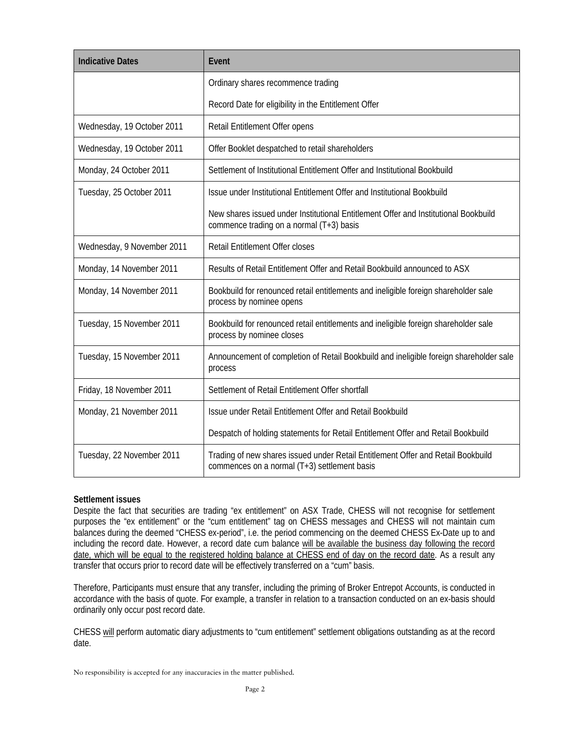| <b>Indicative Dates</b>    | Event                                                                                                                            |
|----------------------------|----------------------------------------------------------------------------------------------------------------------------------|
|                            | Ordinary shares recommence trading                                                                                               |
|                            | Record Date for eligibility in the Entitlement Offer                                                                             |
| Wednesday, 19 October 2011 | Retail Entitlement Offer opens                                                                                                   |
| Wednesday, 19 October 2011 | Offer Booklet despatched to retail shareholders                                                                                  |
| Monday, 24 October 2011    | Settlement of Institutional Entitlement Offer and Institutional Bookbuild                                                        |
| Tuesday, 25 October 2011   | Issue under Institutional Entitlement Offer and Institutional Bookbuild                                                          |
|                            | New shares issued under Institutional Entitlement Offer and Institutional Bookbuild<br>commence trading on a normal (T+3) basis  |
| Wednesday, 9 November 2011 | <b>Retail Entitlement Offer closes</b>                                                                                           |
| Monday, 14 November 2011   | Results of Retail Entitlement Offer and Retail Bookbuild announced to ASX                                                        |
| Monday, 14 November 2011   | Bookbuild for renounced retail entitlements and ineligible foreign shareholder sale<br>process by nominee opens                  |
| Tuesday, 15 November 2011  | Bookbuild for renounced retail entitlements and ineligible foreign shareholder sale<br>process by nominee closes                 |
| Tuesday, 15 November 2011  | Announcement of completion of Retail Bookbuild and ineligible foreign shareholder sale<br>process                                |
| Friday, 18 November 2011   | Settlement of Retail Entitlement Offer shortfall                                                                                 |
| Monday, 21 November 2011   | Issue under Retail Entitlement Offer and Retail Bookbuild                                                                        |
|                            | Despatch of holding statements for Retail Entitlement Offer and Retail Bookbuild                                                 |
| Tuesday, 22 November 2011  | Trading of new shares issued under Retail Entitlement Offer and Retail Bookbuild<br>commences on a normal (T+3) settlement basis |

#### **Settlement issues**

Despite the fact that securities are trading "ex entitlement" on ASX Trade, CHESS will not recognise for settlement purposes the "ex entitlement" or the "cum entitlement" tag on CHESS messages and CHESS will not maintain cum balances during the deemed "CHESS ex-period", i.e. the period commencing on the deemed CHESS Ex-Date up to and including the record date. However, a record date cum balance will be available the business day following the record date, which will be equal to the registered holding balance at CHESS end of day on the record date. As a result any transfer that occurs prior to record date will be effectively transferred on a "cum" basis.

Therefore, Participants must ensure that any transfer, including the priming of Broker Entrepot Accounts, is conducted in accordance with the basis of quote. For example, a transfer in relation to a transaction conducted on an ex-basis should ordinarily only occur post record date.

CHESS will perform automatic diary adjustments to "cum entitlement" settlement obligations outstanding as at the record date.